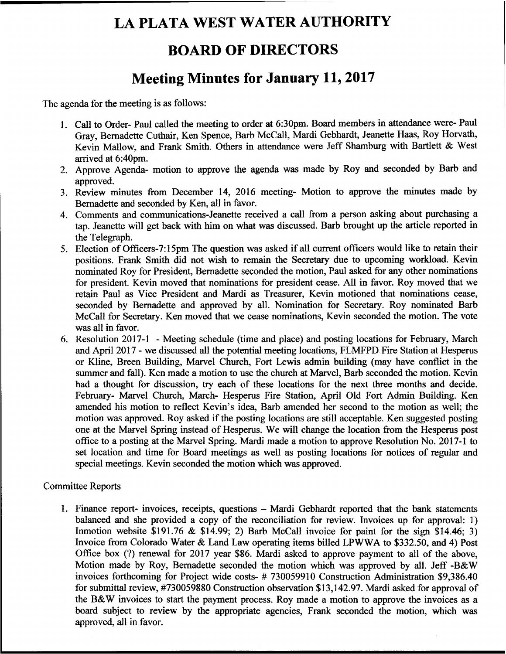# LA PLATA WEST WATER AUTHORITY

## BOARD OF DIRECTORS

## Meeting Minutes for January 11, 2017

The agenda for the meeting is as follows:

- 1. Call to Order- Paul called the meeting to order at 6:30pm. Board members in attendance were- Paul Gray, Bernadette Cuthair, Ken Spence, Barb McCall, Mardi Gebhardt, Jeanette Haas, Roy Horvath, Kevin Mallow, and Frank Smith. Others in attendance were Jeff Shamburg with Bartlett & West arrived at 6:40pm.
- 2. Approve Agenda- motion to approve the agenda was made by Roy and seconded by Barb and approved.
- 3. Review minutes from December 14, 2016 meeting- Motion to approve the minutes made by Bernadette and seconded by Ken, all in favor.
- 4. Comments and communications-Jeanette received a call from a person asking about purchasing a tap. Jeanette will get back with him on what was discussed. Barb brought up the article reported in the Telegraph.
- 5. Election of Officers-7:15pm The question was asked if all current officers would like to retain their positions. Frank Smith did not wish to remain the Secretary due to upcoming workload. Kevin nominated Roy for President, Bemadette seconded the motion, Paul asked for any other nominations for president. Kevin moved that nominations for president cease. All in favor. Roy moved that we retain Paul as Vice President and Mardi as Treasurer, Kevin motioned that nominations cease, seconded by Bernadette and approved by all. Nomination for Secretary. Roy nominated Barb McCall for Secretary. Ken moved that we cease nominations, Kevin seconded the motion. The vote was all in favor.
- 6. Resolution 2017-1 Meeting schedule (time and place) and posting locations for February, March and April 2017 - we discussed all the potential meeting locations, FLMFPD. Fire Station at Hesperus or Kline, Breen Building, Marvel Church, Fort Lewis admin building (may have conflict in the summer and fall). Ken made a motion to use the church at Marvel, Barb seconded the motion. Kevin had a thought for discussion, try each of these locations for the next three months and decide. February- Marvel Church, March- Hesperus Fire Station, April Old Fort Admin Building. Ken amended his motion to reflect Kevin's idea, Barb amended her second to the motion as well; the motion was approved. Roy asked if the posting locations are still acceptable. Ken suggested posting one at the Marvel Spring instead of Hesperus. We will change the location from the Hesperus post office to a posting at the Marvel Spring. Mardi made a motion to approve Resolution No. 2017-1 to set location and time for Board meetings as well as posting locations for notices of regular and special meetings. Kevin seconded the motion which was approved.

#### Committee Reports

1. Finance report- invoices, receipts, questions - Mardi Gebhardt reported that the bank statements balanced and she provided a copy of the reconciliation for review. Invoices up for approval: 1) Inmotion website  $$191.76 \& $14.99; 2)$  Barb McCall invoice for paint for the sign  $$14.46; 3)$ Invoice from Colorado Water & Land Law operating items billed LPWWA to \$332.50, and 4) Post Office box (?) renewal for 2017 year \$86. Mardi asked to approve payment to all of the above, Motion made by Roy, Bernadette seconded the motion which was approved by all. Jeff -B&W invoices forthcoming for Project wide costs- # 730059910 Construction Administration \$9,386.40 for submittal review, #730059880 Construction observation \$13,142.97. Mardi asked for approval of the B&W invoices to start the payment process. Roy made a motion to approve the invoices as a board subject to review by the appropriate agencies, Frank seconded the motion, which was approved, all in favor.